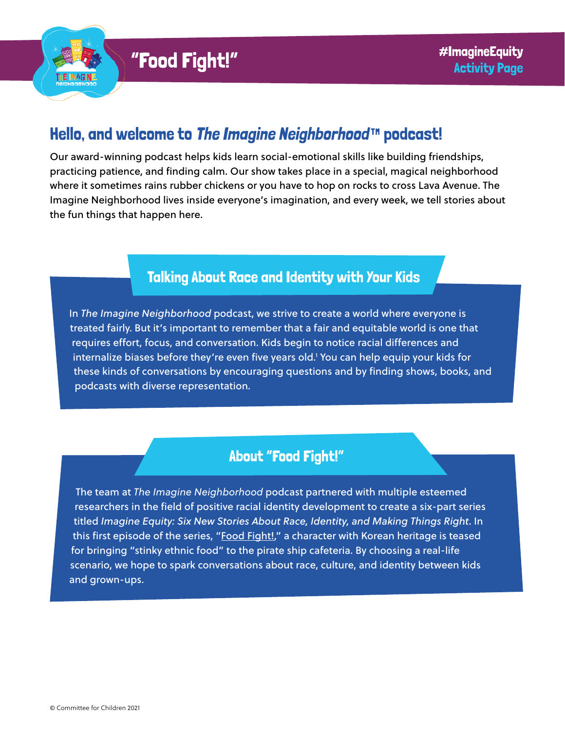

# Hello, and welcome to [The Imagine Neighborhood](https://www.imagineneighborhood.org/)™ podcast!

Our award-winning podcast helps kids learn social-emotional skills like building friendships, practicing patience, and finding calm. Our show takes place in a special, magical neighborhood where it sometimes rains rubber chickens or you have to hop on rocks to cross Lava Avenue. The Imagine Neighborhood lives inside everyone's imagination, and every week, we tell stories about the fun things that happen here.

## Talking About Race and Identity with Your Kids

In *The Imagine Neighborhood* podcast, we strive to create a world where everyone is treated fairly. But it's important to remember that a fair and equitable world is one that requires effort, focus, and conversation. Kids begin to notice racial differences and internalize biases before they're even five years old.1 You can help equip your kids for these kinds of conversations by encouraging questions and by finding shows, books, and podcasts with diverse representation.

## About "Food Fight!"

The team at *The Imagine Neighborhood* podcast partnered with multiple esteemed researchers in the field of positive racial identity development to create a six-part series titled *Imagine Equity: Six New Stories About Race, Identity, and Making Things Right*. In this first episode of the series, "[Food Fight!](https://www.imagineneighborhood.org/imagineequity)," a character with Korean heritage is teased for bringing "stinky ethnic food" to the pirate ship cafeteria. By choosing a real-life scenario, we hope to spark conversations about race, culture, and identity between kids and grown-ups.